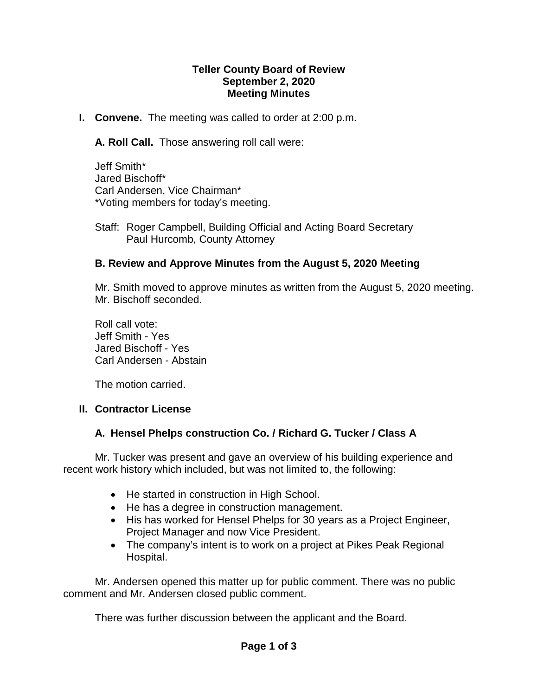#### **Teller County Board of Review September 2, 2020 Meeting Minutes**

**I. Convene.** The meeting was called to order at 2:00 p.m.

**A. Roll Call.** Those answering roll call were:

Jeff Smith\* Jared Bischoff\* Carl Andersen, Vice Chairman\* \*Voting members for today's meeting.

Staff: Roger Campbell, Building Official and Acting Board Secretary Paul Hurcomb, County Attorney

### **B. Review and Approve Minutes from the August 5, 2020 Meeting**

Mr. Smith moved to approve minutes as written from the August 5, 2020 meeting. Mr. Bischoff seconded.

Roll call vote: Jeff Smith - Yes Jared Bischoff - Yes Carl Andersen - Abstain

The motion carried.

### **II. Contractor License**

### **A. Hensel Phelps construction Co. / Richard G. Tucker / Class A**

Mr. Tucker was present and gave an overview of his building experience and recent work history which included, but was not limited to, the following:

- He started in construction in High School.
- He has a degree in construction management.
- His has worked for Hensel Phelps for 30 years as a Project Engineer, Project Manager and now Vice President.
- The company's intent is to work on a project at Pikes Peak Regional Hospital.

Mr. Andersen opened this matter up for public comment. There was no public comment and Mr. Andersen closed public comment.

There was further discussion between the applicant and the Board.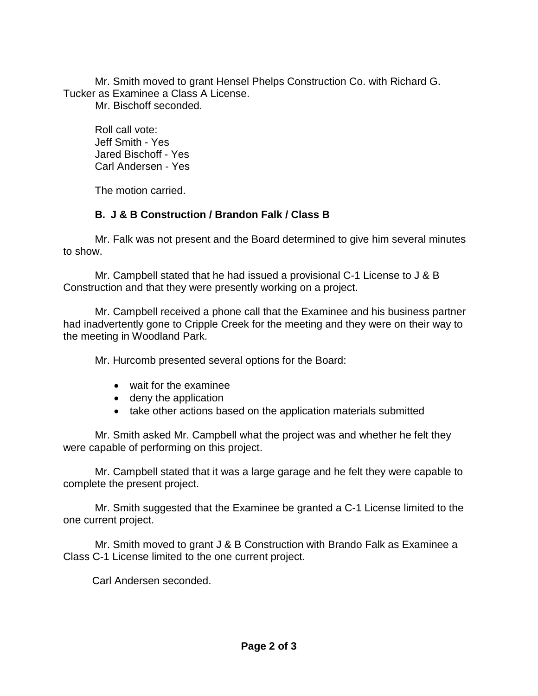Mr. Smith moved to grant Hensel Phelps Construction Co. with Richard G. Tucker as Examinee a Class A License.

Mr. Bischoff seconded.

Roll call vote: Jeff Smith - Yes Jared Bischoff - Yes Carl Andersen - Yes

The motion carried.

## **B. J & B Construction / Brandon Falk / Class B**

Mr. Falk was not present and the Board determined to give him several minutes to show.

Mr. Campbell stated that he had issued a provisional C-1 License to J & B Construction and that they were presently working on a project.

Mr. Campbell received a phone call that the Examinee and his business partner had inadvertently gone to Cripple Creek for the meeting and they were on their way to the meeting in Woodland Park.

Mr. Hurcomb presented several options for the Board:

- wait for the examinee
- deny the application
- take other actions based on the application materials submitted

Mr. Smith asked Mr. Campbell what the project was and whether he felt they were capable of performing on this project.

Mr. Campbell stated that it was a large garage and he felt they were capable to complete the present project.

Mr. Smith suggested that the Examinee be granted a C-1 License limited to the one current project.

Mr. Smith moved to grant J & B Construction with Brando Falk as Examinee a Class C-1 License limited to the one current project.

Carl Andersen seconded.